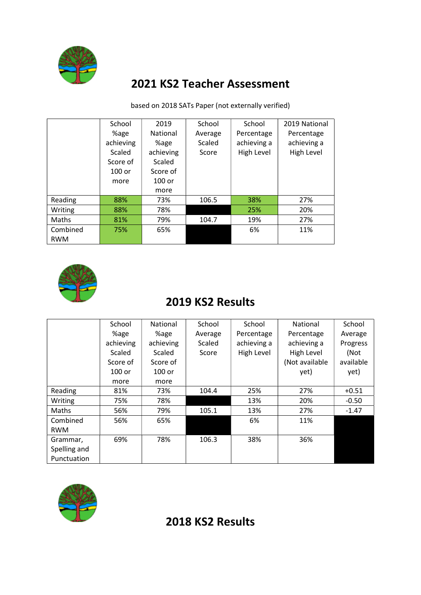

**Scaled** Score of 100 or more

### 2021 KS2 Teacher Assessment

| School    | 2019            | School  | School      | 2019 National |
|-----------|-----------------|---------|-------------|---------------|
| %age      | <b>National</b> | Average | Percentage  | Percentage    |
| achieving | %age            | Scaled  | achieving a | achieving a   |

achieving Scaled Score of 100 or more

Reading 88% 73% 106.5 38% 27% Writing 88% 78% 25% 25% 20% Maths 81% 79% 104.7 19% 27%

based on 2018 SATs Paper (not externally verified)

Score

High Level

High Level



**Combined** RWM

#### 2019 KS2 Results

75% 65% 6% 11%

|              | School    | National  | School  | School      | National       | School    |
|--------------|-----------|-----------|---------|-------------|----------------|-----------|
|              | %age      | %age      | Average | Percentage  | Percentage     | Average   |
|              | achieving | achieving | Scaled  | achieving a | achieving a    | Progress  |
|              | Scaled    | Scaled    | Score   | High Level  | High Level     | (Not      |
|              | Score of  | Score of  |         |             | (Not available | available |
|              | $100$ or  | $100$ or  |         |             | yet)           | yet)      |
|              | more      | more      |         |             |                |           |
| Reading      | 81%       | 73%       | 104.4   | 25%         | 27%            | $+0.51$   |
| Writing      | 75%       | 78%       |         | 13%         | 20%            | $-0.50$   |
| Maths        | 56%       | 79%       | 105.1   | 13%         | 27%            | $-1.47$   |
| Combined     | 56%       | 65%       |         | 6%          | 11%            |           |
| <b>RWM</b>   |           |           |         |             |                |           |
| Grammar,     | 69%       | 78%       | 106.3   | 38%         | 36%            |           |
| Spelling and |           |           |         |             |                |           |
| Punctuation  |           |           |         |             |                |           |



#### 2018 KS2 Results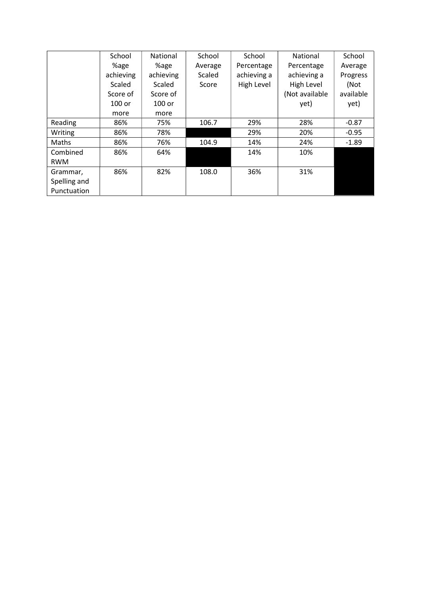|              | School    | National  | School  | School      | National       | School    |
|--------------|-----------|-----------|---------|-------------|----------------|-----------|
|              | %age      | %age      | Average | Percentage  | Percentage     | Average   |
|              | achieving | achieving | Scaled  | achieving a | achieving a    | Progress  |
|              | Scaled    | Scaled    | Score   | High Level  | High Level     | (Not      |
|              | Score of  | Score of  |         |             | (Not available | available |
|              | $100$ or  | $100$ or  |         |             | yet)           | yet)      |
|              | more      | more      |         |             |                |           |
| Reading      | 86%       | 75%       | 106.7   | 29%         | 28%            | $-0.87$   |
| Writing      | 86%       | 78%       |         | 29%         | 20%            | $-0.95$   |
| Maths        | 86%       | 76%       | 104.9   | 14%         | 24%            | $-1.89$   |
| Combined     | 86%       | 64%       |         | 14%         | 10%            |           |
| <b>RWM</b>   |           |           |         |             |                |           |
| Grammar,     | 86%       | 82%       | 108.0   | 36%         | 31%            |           |
| Spelling and |           |           |         |             |                |           |
| Punctuation  |           |           |         |             |                |           |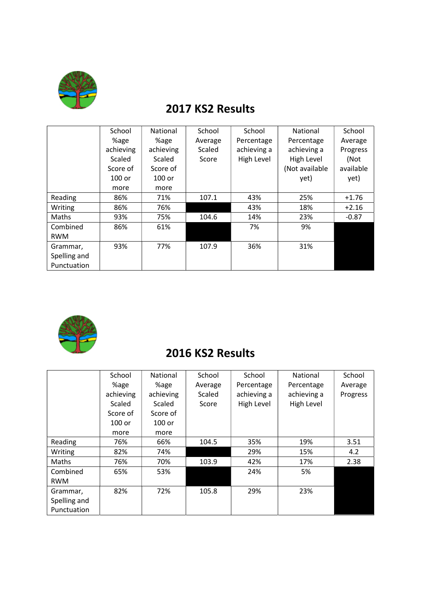

# 2017 KS2 Results

|              | School    | National  | School  | School      | National       | School    |
|--------------|-----------|-----------|---------|-------------|----------------|-----------|
|              | %age      | %age      | Average | Percentage  | Percentage     | Average   |
|              | achieving | achieving | Scaled  | achieving a | achieving a    | Progress  |
|              | Scaled    | Scaled    | Score   | High Level  | High Level     | (Not      |
|              | Score of  | Score of  |         |             | (Not available | available |
|              | $100$ or  | $100$ or  |         |             | yet)           | yet)      |
|              | more      | more      |         |             |                |           |
| Reading      | 86%       | 71%       | 107.1   | 43%         | 25%            | $+1.76$   |
| Writing      | 86%       | 76%       |         | 43%         | 18%            | $+2.16$   |
| Maths        | 93%       | 75%       | 104.6   | 14%         | 23%            | $-0.87$   |
| Combined     | 86%       | 61%       |         | 7%          | 9%             |           |
| <b>RWM</b>   |           |           |         |             |                |           |
| Grammar,     | 93%       | 77%       | 107.9   | 36%         | 31%            |           |
| Spelling and |           |           |         |             |                |           |
| Punctuation  |           |           |         |             |                |           |



### 2016 KS2 Results

|              | School    | National  | School  | School      | National    | School   |
|--------------|-----------|-----------|---------|-------------|-------------|----------|
|              | %age      | %age      | Average | Percentage  | Percentage  | Average  |
|              | achieving | achieving | Scaled  | achieving a | achieving a | Progress |
|              | Scaled    | Scaled    | Score   | High Level  | High Level  |          |
|              | Score of  | Score of  |         |             |             |          |
|              | $100$ or  | 100 or    |         |             |             |          |
|              | more      | more      |         |             |             |          |
| Reading      | 76%       | 66%       | 104.5   | 35%         | 19%         | 3.51     |
| Writing      | 82%       | 74%       |         | 29%         | 15%         | 4.2      |
| Maths        | 76%       | 70%       | 103.9   | 42%         | 17%         | 2.38     |
| Combined     | 65%       | 53%       |         | 24%         | 5%          |          |
| <b>RWM</b>   |           |           |         |             |             |          |
| Grammar,     | 82%       | 72%       | 105.8   | 29%         | 23%         |          |
| Spelling and |           |           |         |             |             |          |
| Punctuation  |           |           |         |             |             |          |